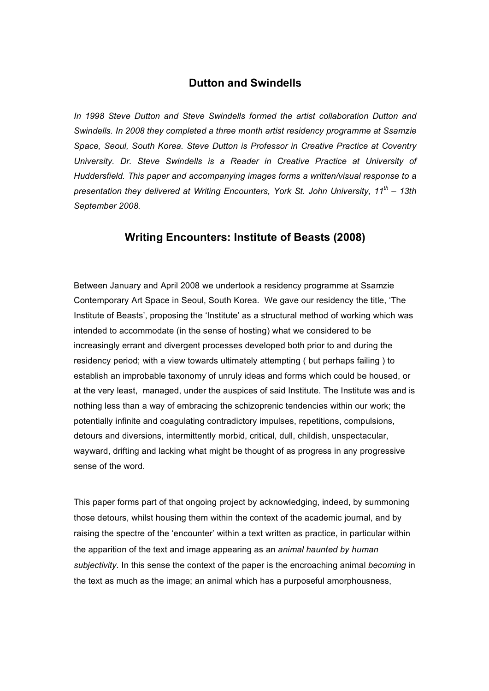## **Dutton and Swindells**

*In 1998 Steve Dutton and Steve Swindells formed the artist collaboration Dutton and Swindells. In 2008 they completed a three month artist residency programme at Ssamzie Space, Seoul, South Korea. Steve Dutton is Professor in Creative Practice at Coventry University. Dr. Steve Swindells is a Reader in Creative Practice at University of Huddersfield. This paper and accompanying images forms a written/visual response to a presentation they delivered at Writing Encounters, York St. John University, 11th – 13th September 2008.*

## **Writing Encounters: Institute of Beasts (2008)**

Between January and April 2008 we undertook a residency programme at Ssamzie Contemporary Art Space in Seoul, South Korea. We gave our residency the title, 'The Institute of Beasts', proposing the 'Institute' as a structural method of working which was intended to accommodate (in the sense of hosting) what we considered to be increasingly errant and divergent processes developed both prior to and during the residency period; with a view towards ultimately attempting ( but perhaps failing ) to establish an improbable taxonomy of unruly ideas and forms which could be housed, or at the very least, managed, under the auspices of said Institute. The Institute was and is nothing less than a way of embracing the schizoprenic tendencies within our work; the potentially infinite and coagulating contradictory impulses, repetitions, compulsions, detours and diversions, intermittently morbid, critical, dull, childish, unspectacular, wayward, drifting and lacking what might be thought of as progress in any progressive sense of the word.

This paper forms part of that ongoing project by acknowledging, indeed, by summoning those detours, whilst housing them within the context of the academic journal, and by raising the spectre of the 'encounter' within a text written as practice, in particular within the apparition of the text and image appearing as an *animal haunted by human subjectivity*. In this sense the context of the paper is the encroaching animal *becoming* in the text as much as the image; an animal which has a purposeful amorphousness,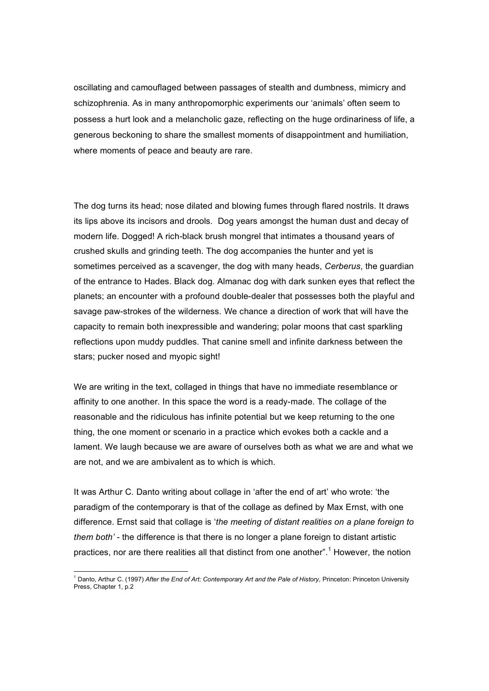oscillating and camouflaged between passages of stealth and dumbness, mimicry and schizophrenia. As in many anthropomorphic experiments our 'animals' often seem to possess a hurt look and a melancholic gaze, reflecting on the huge ordinariness of life, a generous beckoning to share the smallest moments of disappointment and humiliation, where moments of peace and beauty are rare.

The dog turns its head; nose dilated and blowing fumes through flared nostrils. It draws its lips above its incisors and drools. Dog years amongst the human dust and decay of modern life. Dogged! A rich-black brush mongrel that intimates a thousand years of crushed skulls and grinding teeth. The dog accompanies the hunter and yet is sometimes perceived as a scavenger, the dog with many heads, *Cerberus*, the guardian of the entrance to Hades. Black dog. Almanac dog with dark sunken eyes that reflect the planets; an encounter with a profound double-dealer that possesses both the playful and savage paw-strokes of the wilderness. We chance a direction of work that will have the capacity to remain both inexpressible and wandering; polar moons that cast sparkling reflections upon muddy puddles. That canine smell and infinite darkness between the stars; pucker nosed and myopic sight!

We are writing in the text, collaged in things that have no immediate resemblance or affinity to one another. In this space the word is a ready-made. The collage of the reasonable and the ridiculous has infinite potential but we keep returning to the one thing, the one moment or scenario in a practice which evokes both a cackle and a lament. We laugh because we are aware of ourselves both as what we are and what we are not, and we are ambivalent as to which is which.

It was Arthur C. Danto writing about collage in 'after the end of art' who wrote: 'the paradigm of the contemporary is that of the collage as defined by Max Ernst, with one difference. Ernst said that collage is '*the meeting of distant realities on a plane foreign to them both'* - the difference is that there is no longer a plane foreign to distant artistic practices, nor are there realities all that distinct from one another".<sup>1</sup> However, the notion

<sup>1</sup> Danto, Arthur C. (1997) *After the End of Art: Contemporary Art and the Pale of History*, Princeton: Princeton University Press, Chapter 1, p.2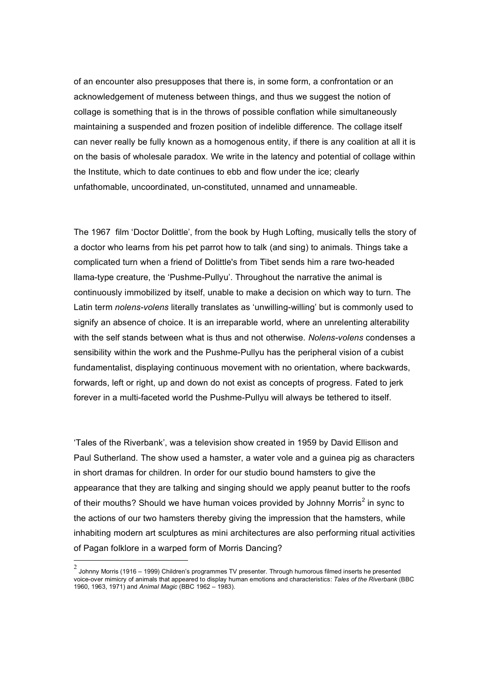of an encounter also presupposes that there is, in some form, a confrontation or an acknowledgement of muteness between things, and thus we suggest the notion of collage is something that is in the throws of possible conflation while simultaneously maintaining a suspended and frozen position of indelible difference. The collage itself can never really be fully known as a homogenous entity, if there is any coalition at all it is on the basis of wholesale paradox. We write in the latency and potential of collage within the Institute, which to date continues to ebb and flow under the ice; clearly unfathomable, uncoordinated, un-constituted, unnamed and unnameable.

The 1967 film 'Doctor Dolittle', from the book by Hugh Lofting, musically tells the story of a doctor who learns from his pet parrot how to talk (and sing) to animals. Things take a complicated turn when a friend of Dolittle's from Tibet sends him a rare two-headed llama-type creature, the 'Pushme-Pullyu'. Throughout the narrative the animal is continuously immobilized by itself, unable to make a decision on which way to turn. The Latin term *nolens-volens* literally translates as 'unwilling-willing' but is commonly used to signify an absence of choice. It is an irreparable world, where an unrelenting alterability with the self stands between what is thus and not otherwise. *Nolens-volens* condenses a sensibility within the work and the Pushme-Pullyu has the peripheral vision of a cubist fundamentalist, displaying continuous movement with no orientation, where backwards, forwards, left or right, up and down do not exist as concepts of progress. Fated to jerk forever in a multi-faceted world the Pushme-Pullyu will always be tethered to itself.

'Tales of the Riverbank', was a television show created in 1959 by David Ellison and Paul Sutherland. The show used a hamster, a water vole and a guinea pig as characters in short dramas for children. In order for our studio bound hamsters to give the appearance that they are talking and singing should we apply peanut butter to the roofs of their mouths? Should we have human voices provided by Johnny Morris<sup>2</sup> in sync to the actions of our two hamsters thereby giving the impression that the hamsters, while inhabiting modern art sculptures as mini architectures are also performing ritual activities of Pagan folklore in a warped form of Morris Dancing?

 $^2$  Johnny Morris (1916 – 1999) Children's programmes TV presenter. Through humorous filmed inserts he presented voice-over mimicry of animals that appeared to display human emotions and characteristics: *Tales of the Riverbank* (BBC 1960, 1963, 1971) and *Animal Magic* (BBC 1962 – 1983).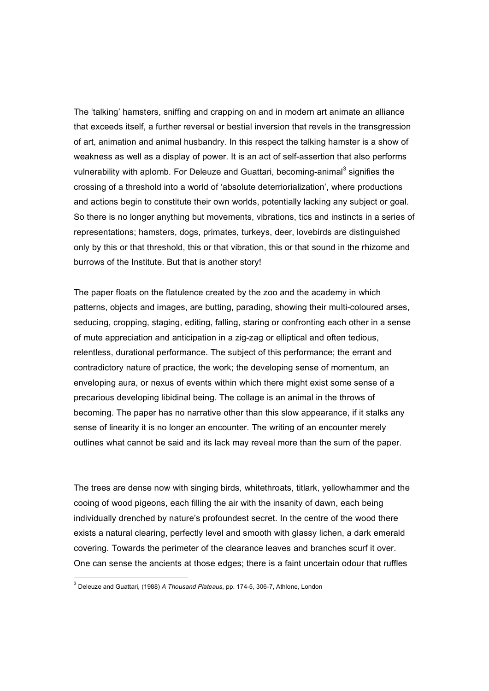The 'talking' hamsters, sniffing and crapping on and in modern art animate an alliance that exceeds itself, a further reversal or bestial inversion that revels in the transgression of art, animation and animal husbandry. In this respect the talking hamster is a show of weakness as well as a display of power. It is an act of self-assertion that also performs vulnerability with aplomb. For Deleuze and Guattari, becoming-animal<sup>3</sup> signifies the crossing of a threshold into a world of 'absolute deterriorialization', where productions and actions begin to constitute their own worlds, potentially lacking any subject or goal. So there is no longer anything but movements, vibrations, tics and instincts in a series of representations; hamsters, dogs, primates, turkeys, deer, lovebirds are distinguished only by this or that threshold, this or that vibration, this or that sound in the rhizome and burrows of the Institute. But that is another story!

The paper floats on the flatulence created by the zoo and the academy in which patterns, objects and images, are butting, parading, showing their multi-coloured arses, seducing, cropping, staging, editing, falling, staring or confronting each other in a sense of mute appreciation and anticipation in a zig-zag or elliptical and often tedious, relentless, durational performance. The subject of this performance; the errant and contradictory nature of practice, the work; the developing sense of momentum, an enveloping aura, or nexus of events within which there might exist some sense of a precarious developing libidinal being. The collage is an animal in the throws of becoming. The paper has no narrative other than this slow appearance, if it stalks any sense of linearity it is no longer an encounter. The writing of an encounter merely outlines what cannot be said and its lack may reveal more than the sum of the paper.

The trees are dense now with singing birds, whitethroats, titlark, yellowhammer and the cooing of wood pigeons, each filling the air with the insanity of dawn, each being individually drenched by nature's profoundest secret. In the centre of the wood there exists a natural clearing, perfectly level and smooth with glassy lichen, a dark emerald covering. Towards the perimeter of the clearance leaves and branches scurf it over. One can sense the ancients at those edges; there is a faint uncertain odour that ruffles

<sup>3</sup> Deleuze and Guattari, (1988) *A Thousand Plateaus*, pp. 174-5, 306-7, Athlone, London